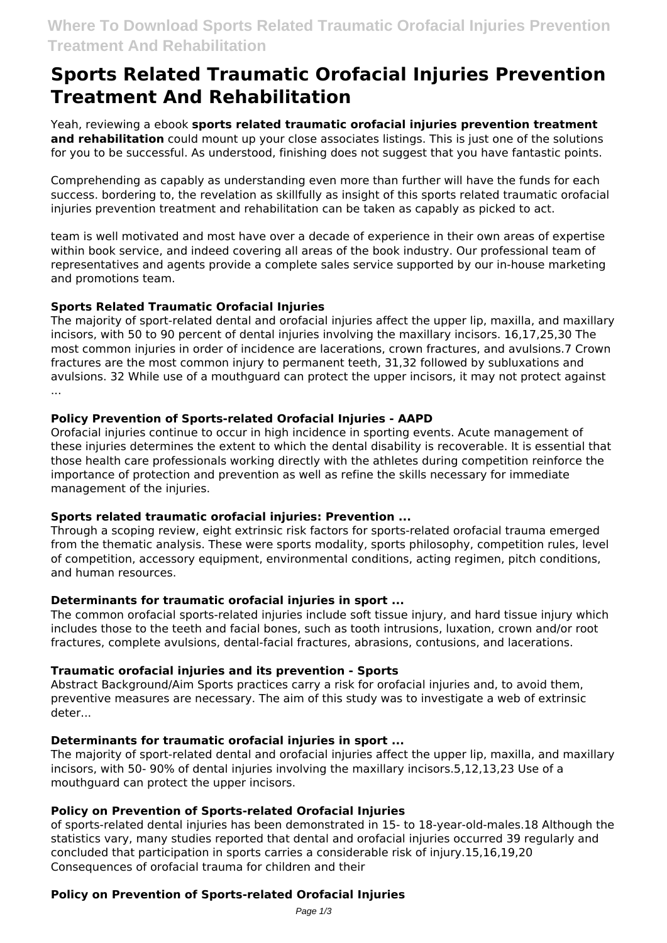# **Sports Related Traumatic Orofacial Injuries Prevention Treatment And Rehabilitation**

Yeah, reviewing a ebook **sports related traumatic orofacial injuries prevention treatment and rehabilitation** could mount up your close associates listings. This is just one of the solutions for you to be successful. As understood, finishing does not suggest that you have fantastic points.

Comprehending as capably as understanding even more than further will have the funds for each success. bordering to, the revelation as skillfully as insight of this sports related traumatic orofacial injuries prevention treatment and rehabilitation can be taken as capably as picked to act.

team is well motivated and most have over a decade of experience in their own areas of expertise within book service, and indeed covering all areas of the book industry. Our professional team of representatives and agents provide a complete sales service supported by our in-house marketing and promotions team.

## **Sports Related Traumatic Orofacial Injuries**

The majority of sport-related dental and orofacial injuries affect the upper lip, maxilla, and maxillary incisors, with 50 to 90 percent of dental injuries involving the maxillary incisors. 16,17,25,30 The most common injuries in order of incidence are lacerations, crown fractures, and avulsions.7 Crown fractures are the most common injury to permanent teeth, 31,32 followed by subluxations and avulsions. 32 While use of a mouthguard can protect the upper incisors, it may not protect against ...

## **Policy Prevention of Sports-related Orofacial Injuries - AAPD**

Orofacial injuries continue to occur in high incidence in sporting events. Acute management of these injuries determines the extent to which the dental disability is recoverable. It is essential that those health care professionals working directly with the athletes during competition reinforce the importance of protection and prevention as well as refine the skills necessary for immediate management of the injuries.

## **Sports related traumatic orofacial injuries: Prevention ...**

Through a scoping review, eight extrinsic risk factors for sports‐related orofacial trauma emerged from the thematic analysis. These were sports modality, sports philosophy, competition rules, level of competition, accessory equipment, environmental conditions, acting regimen, pitch conditions, and human resources.

## **Determinants for traumatic orofacial injuries in sport ...**

The common orofacial sports-related injuries include soft tissue injury, and hard tissue injury which includes those to the teeth and facial bones, such as tooth intrusions, luxation, crown and/or root fractures, complete avulsions, dental-facial fractures, abrasions, contusions, and lacerations.

# **Traumatic orofacial injuries and its prevention - Sports**

Abstract Background/Aim Sports practices carry a risk for orofacial injuries and, to avoid them, preventive measures are necessary. The aim of this study was to investigate a web of extrinsic deter...

# **Determinants for traumatic orofacial injuries in sport ...**

The majority of sport-related dental and orofacial injuries affect the upper lip, maxilla, and maxillary incisors, with 50- 90% of dental injuries involving the maxillary incisors.5,12,13,23 Use of a mouthguard can protect the upper incisors.

# **Policy on Prevention of Sports-related Orofacial Injuries**

of sports-related dental injuries has been demonstrated in 15- to 18-year-old-males.18 Although the statistics vary, many studies reported that dental and orofacial injuries occurred 39 regularly and concluded that participation in sports carries a considerable risk of injury.15,16,19,20 Consequences of orofacial trauma for children and their

# **Policy on Prevention of Sports-related Orofacial Injuries**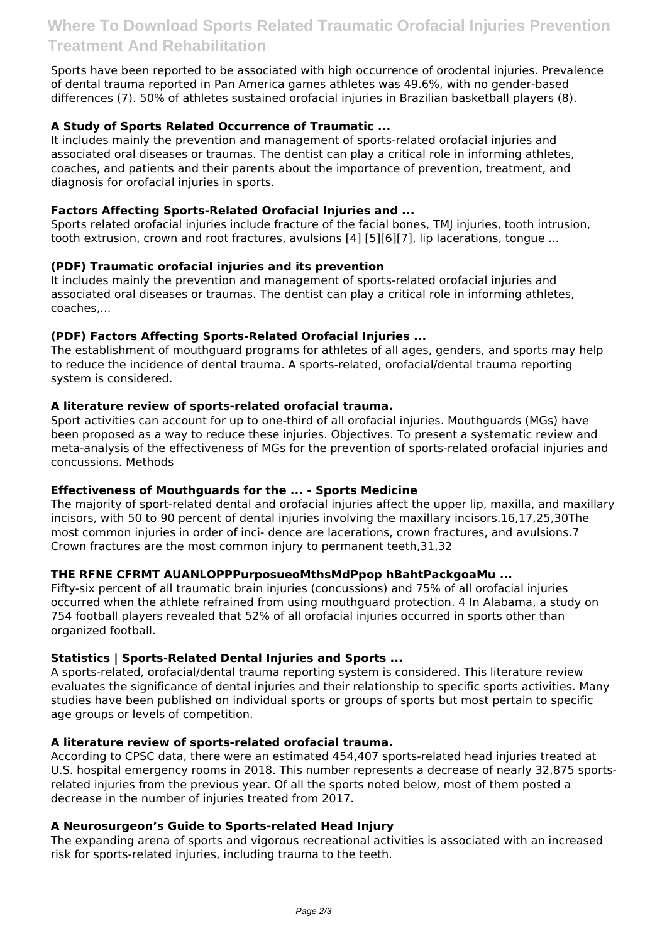Sports have been reported to be associated with high occurrence of orodental injuries. Prevalence of dental trauma reported in Pan America games athletes was 49.6%, with no gender-based differences (7). 50% of athletes sustained orofacial injuries in Brazilian basketball players (8).

# **A Study of Sports Related Occurrence of Traumatic ...**

It includes mainly the prevention and management of sports-related orofacial injuries and associated oral diseases or traumas. The dentist can play a critical role in informing athletes, coaches, and patients and their parents about the importance of prevention, treatment, and diagnosis for orofacial injuries in sports.

## **Factors Affecting Sports-Related Orofacial Injuries and ...**

Sports related orofacial injuries include fracture of the facial bones, TMJ injuries, tooth intrusion, tooth extrusion, crown and root fractures, avulsions [4] [5][6][7], lip lacerations, tongue ...

#### **(PDF) Traumatic orofacial injuries and its prevention**

It includes mainly the prevention and management of sports-related orofacial injuries and associated oral diseases or traumas. The dentist can play a critical role in informing athletes, coaches,...

#### **(PDF) Factors Affecting Sports-Related Orofacial Injuries ...**

The establishment of mouthguard programs for athletes of all ages, genders, and sports may help to reduce the incidence of dental trauma. A sports-related, orofacial/dental trauma reporting system is considered.

#### **A literature review of sports-related orofacial trauma.**

Sport activities can account for up to one-third of all orofacial injuries. Mouthguards (MGs) have been proposed as a way to reduce these injuries. Objectives. To present a systematic review and meta-analysis of the effectiveness of MGs for the prevention of sports-related orofacial injuries and concussions. Methods

## **Effectiveness of Mouthguards for the ... - Sports Medicine**

The majority of sport-related dental and orofacial injuries affect the upper lip, maxilla, and maxillary incisors, with 50 to 90 percent of dental injuries involving the maxillary incisors.16,17,25,30The most common injuries in order of inci- dence are lacerations, crown fractures, and avulsions.7 Crown fractures are the most common injury to permanent teeth,31,32

## **THE RFNE CFRMT AUANLOPPPurposueoMthsMdPpop hBahtPackgoaMu ...**

Fifty-six percent of all traumatic brain injuries (concussions) and 75% of all orofacial injuries occurred when the athlete refrained from using mouthguard protection. 4 In Alabama, a study on 754 football players revealed that 52% of all orofacial injuries occurred in sports other than organized football.

## **Statistics | Sports-Related Dental Injuries and Sports ...**

A sports-related, orofacial/dental trauma reporting system is considered. This literature review evaluates the significance of dental injuries and their relationship to specific sports activities. Many studies have been published on individual sports or groups of sports but most pertain to specific age groups or levels of competition.

#### **A literature review of sports-related orofacial trauma.**

According to CPSC data, there were an estimated 454,407 sports-related head injuries treated at U.S. hospital emergency rooms in 2018. This number represents a decrease of nearly 32,875 sportsrelated injuries from the previous year. Of all the sports noted below, most of them posted a decrease in the number of injuries treated from 2017.

#### **A Neurosurgeon's Guide to Sports-related Head Injury**

The expanding arena of sports and vigorous recreational activities is associated with an increased risk for sports-related injuries, including trauma to the teeth.